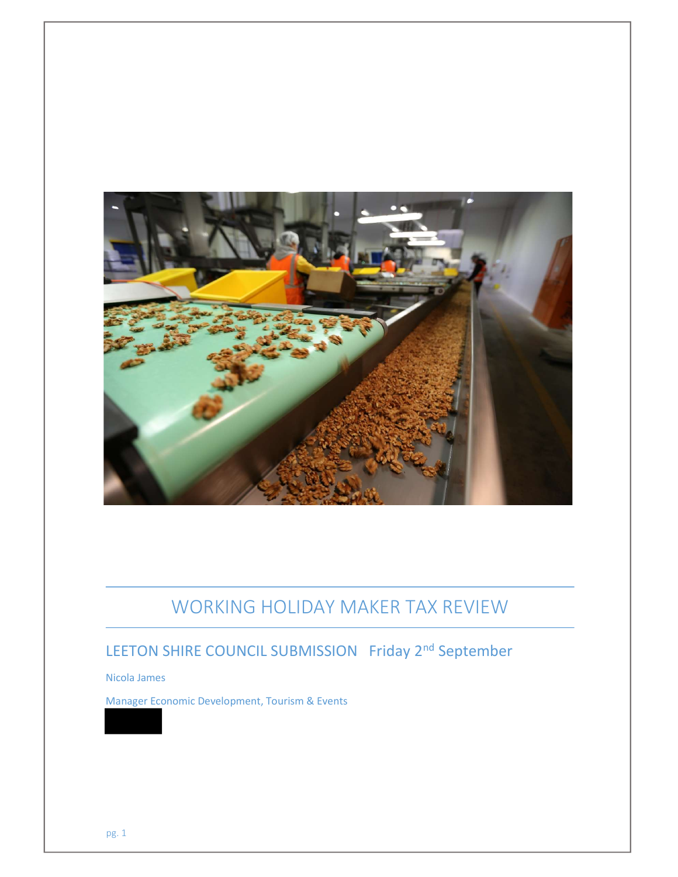

# WORKING HOLIDAY MAKER TAX REVIEW

## LEETON SHIRE COUNCIL SUBMISSION Friday 2<sup>nd</sup> September

Nicola James

Manager Economic Development, Tourism & Events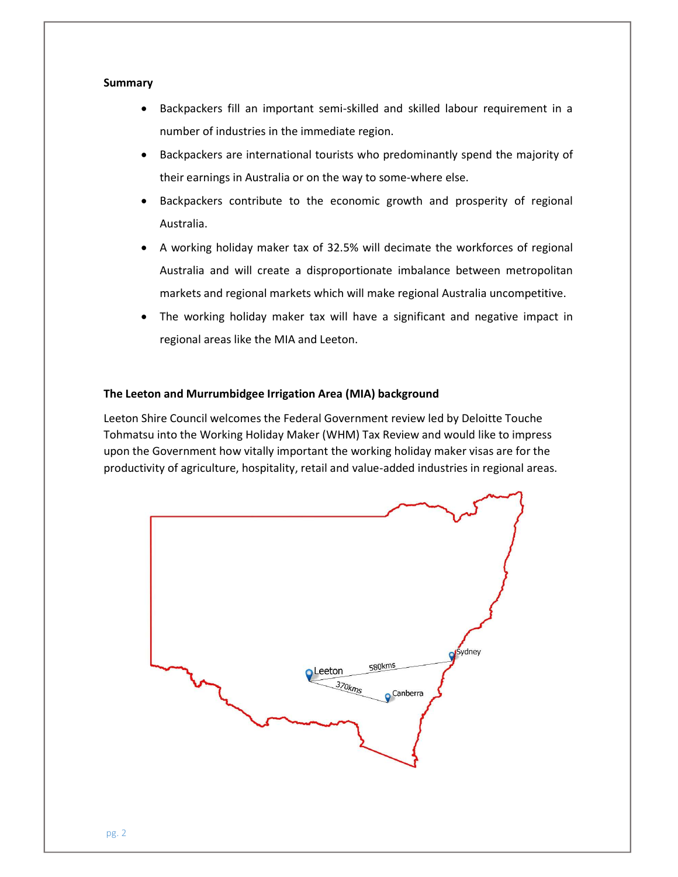## **Summary**

- Backpackers fill an important semi-skilled and skilled labour requirement in a number of industries in the immediate region.
- Backpackers are international tourists who predominantly spend the majority of their earnings in Australia or on the way to some-where else.
- Backpackers contribute to the economic growth and prosperity of regional Australia.
- A working holiday maker tax of 32.5% will decimate the workforces of regional Australia and will create a disproportionate imbalance between metropolitan markets and regional markets which will make regional Australia uncompetitive.
- The working holiday maker tax will have a significant and negative impact in regional areas like the MIA and Leeton.

## The Leeton and Murrumbidgee Irrigation Area (MIA) background

Leeton Shire Council welcomes the Federal Government review led by Deloitte Touche Tohmatsu into the Working Holiday Maker (WHM) Tax Review and would like to impress upon the Government how vitally important the working holiday maker visas are for the productivity of agriculture, hospitality, retail and value-added industries in regional areas.

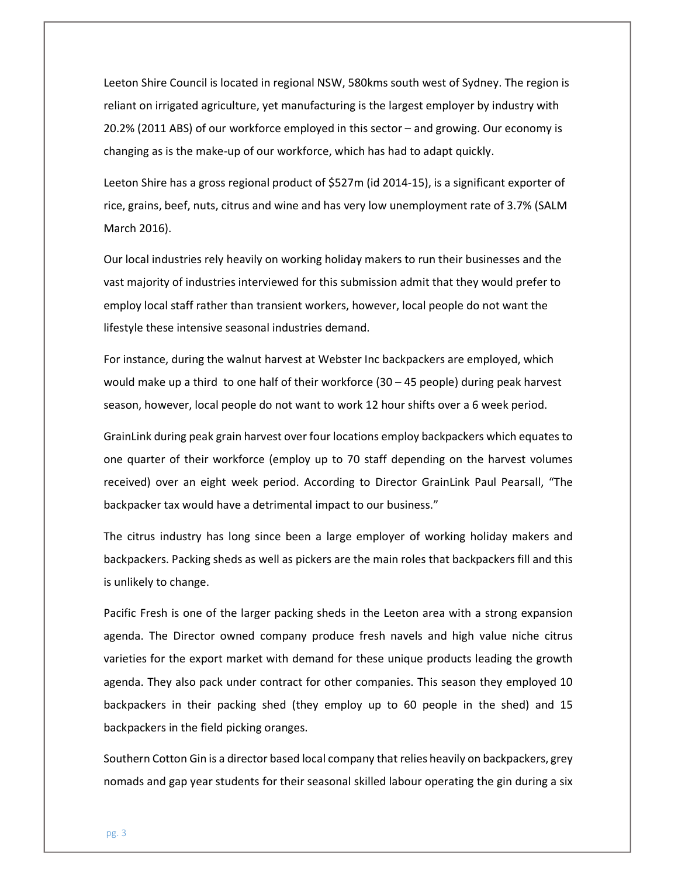Leeton Shire Council is located in regional NSW, 580kms south west of Sydney. The region is reliant on irrigated agriculture, yet manufacturing is the largest employer by industry with 20.2% (2011 ABS) of our workforce employed in this sector – and growing. Our economy is changing as is the make-up of our workforce, which has had to adapt quickly.

Leeton Shire has a gross regional product of \$527m (id 2014-15), is a significant exporter of rice, grains, beef, nuts, citrus and wine and has very low unemployment rate of 3.7% (SALM March 2016).

Our local industries rely heavily on working holiday makers to run their businesses and the vast majority of industries interviewed for this submission admit that they would prefer to employ local staff rather than transient workers, however, local people do not want the lifestyle these intensive seasonal industries demand.

For instance, during the walnut harvest at Webster Inc backpackers are employed, which would make up a third to one half of their workforce  $(30 - 45$  people) during peak harvest season, however, local people do not want to work 12 hour shifts over a 6 week period.

GrainLink during peak grain harvest over four locations employ backpackers which equates to one quarter of their workforce (employ up to 70 staff depending on the harvest volumes received) over an eight week period. According to Director GrainLink Paul Pearsall, "The backpacker tax would have a detrimental impact to our business."

The citrus industry has long since been a large employer of working holiday makers and backpackers. Packing sheds as well as pickers are the main roles that backpackers fill and this is unlikely to change.

Pacific Fresh is one of the larger packing sheds in the Leeton area with a strong expansion agenda. The Director owned company produce fresh navels and high value niche citrus varieties for the export market with demand for these unique products leading the growth agenda. They also pack under contract for other companies. This season they employed 10 backpackers in their packing shed (they employ up to 60 people in the shed) and 15 backpackers in the field picking oranges.

Southern Cotton Gin is a director based local company that relies heavily on backpackers, grey nomads and gap year students for their seasonal skilled labour operating the gin during a six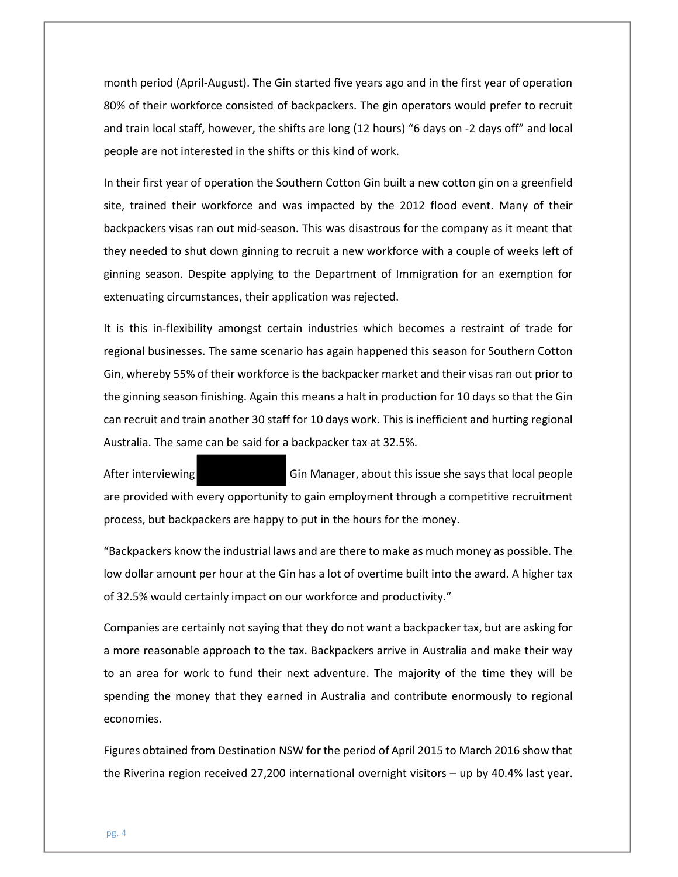month period (April-August). The Gin started five years ago and in the first year of operation 80% of their workforce consisted of backpackers. The gin operators would prefer to recruit and train local staff, however, the shifts are long (12 hours) "6 days on -2 days off" and local people are not interested in the shifts or this kind of work.

In their first year of operation the Southern Cotton Gin built a new cotton gin on a greenfield site, trained their workforce and was impacted by the 2012 flood event. Many of their backpackers visas ran out mid-season. This was disastrous for the company as it meant that they needed to shut down ginning to recruit a new workforce with a couple of weeks left of ginning season. Despite applying to the Department of Immigration for an exemption for extenuating circumstances, their application was rejected.

It is this in-flexibility amongst certain industries which becomes a restraint of trade for regional businesses. The same scenario has again happened this season for Southern Cotton Gin, whereby 55% of their workforce is the backpacker market and their visas ran out prior to the ginning season finishing. Again this means a halt in production for 10 days so that the Gin can recruit and train another 30 staff for 10 days work. This is inefficient and hurting regional Australia. The same can be said for a backpacker tax at 32.5%.

After interviewing Gin Manager, about this issue she says that local people are provided with every opportunity to gain employment through a competitive recruitment process, but backpackers are happy to put in the hours for the money.

"Backpackers know the industrial laws and are there to make as much money as possible. The low dollar amount per hour at the Gin has a lot of overtime built into the award. A higher tax of 32.5% would certainly impact on our workforce and productivity."

Companies are certainly not saying that they do not want a backpacker tax, but are asking for a more reasonable approach to the tax. Backpackers arrive in Australia and make their way to an area for work to fund their next adventure. The majority of the time they will be spending the money that they earned in Australia and contribute enormously to regional economies.

Figures obtained from Destination NSW for the period of April 2015 to March 2016 show that the Riverina region received 27,200 international overnight visitors – up by 40.4% last year.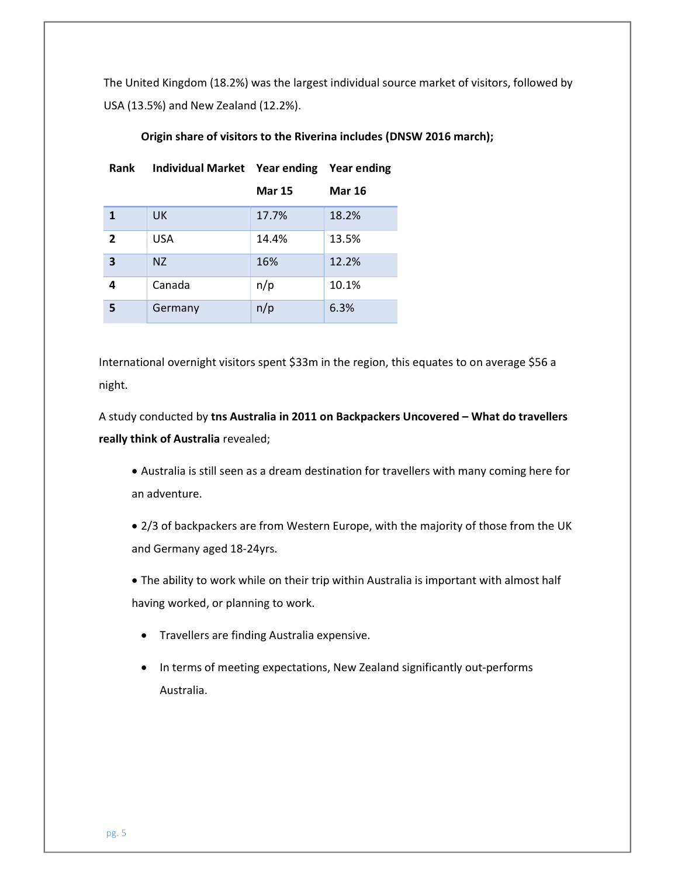The United Kingdom (18.2%) was the largest individual source market of visitors, followed by USA (13.5%) and New Zealand (12.2%).

| <b>Rank</b>             | Individual Market Year ending Year ending |               |               |
|-------------------------|-------------------------------------------|---------------|---------------|
|                         |                                           | <b>Mar 15</b> | <b>Mar 16</b> |
| $\mathbf{1}$            | UK.                                       | 17.7%         | 18.2%         |
| $\overline{2}$          | USA                                       | 14.4%         | 13.5%         |
| $\overline{\mathbf{3}}$ | NZ.                                       | 16%           | 12.2%         |
| 4                       | Canada                                    | n/p           | 10.1%         |
| 5                       | Germany                                   | n/p           | 6.3%          |

### Origin share of visitors to the Riverina includes (DNSW 2016 march);

International overnight visitors spent \$33m in the region, this equates to on average \$56 a night.

A study conducted by tns Australia in 2011 on Backpackers Uncovered – What do travellers really think of Australia revealed;

 Australia is still seen as a dream destination for travellers with many coming here for an adventure.

 2/3 of backpackers are from Western Europe, with the majority of those from the UK and Germany aged 18-24yrs.

 The ability to work while on their trip within Australia is important with almost half having worked, or planning to work.

- Travellers are finding Australia expensive.
- In terms of meeting expectations, New Zealand significantly out-performs Australia.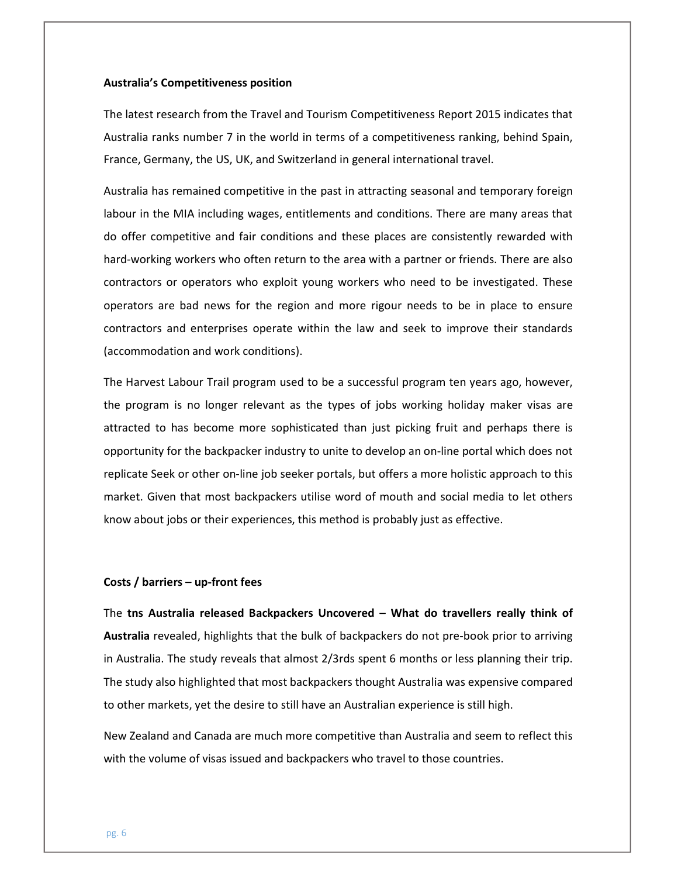#### Australia's Competitiveness position

The latest research from the Travel and Tourism Competitiveness Report 2015 indicates that Australia ranks number 7 in the world in terms of a competitiveness ranking, behind Spain, France, Germany, the US, UK, and Switzerland in general international travel.

Australia has remained competitive in the past in attracting seasonal and temporary foreign labour in the MIA including wages, entitlements and conditions. There are many areas that do offer competitive and fair conditions and these places are consistently rewarded with hard-working workers who often return to the area with a partner or friends. There are also contractors or operators who exploit young workers who need to be investigated. These operators are bad news for the region and more rigour needs to be in place to ensure contractors and enterprises operate within the law and seek to improve their standards (accommodation and work conditions).

The Harvest Labour Trail program used to be a successful program ten years ago, however, the program is no longer relevant as the types of jobs working holiday maker visas are attracted to has become more sophisticated than just picking fruit and perhaps there is opportunity for the backpacker industry to unite to develop an on-line portal which does not replicate Seek or other on-line job seeker portals, but offers a more holistic approach to this market. Given that most backpackers utilise word of mouth and social media to let others know about jobs or their experiences, this method is probably just as effective.

#### Costs / barriers – up-front fees

The tns Australia released Backpackers Uncovered – What do travellers really think of Australia revealed, highlights that the bulk of backpackers do not pre-book prior to arriving in Australia. The study reveals that almost 2/3rds spent 6 months or less planning their trip. The study also highlighted that most backpackers thought Australia was expensive compared to other markets, yet the desire to still have an Australian experience is still high.

New Zealand and Canada are much more competitive than Australia and seem to reflect this with the volume of visas issued and backpackers who travel to those countries.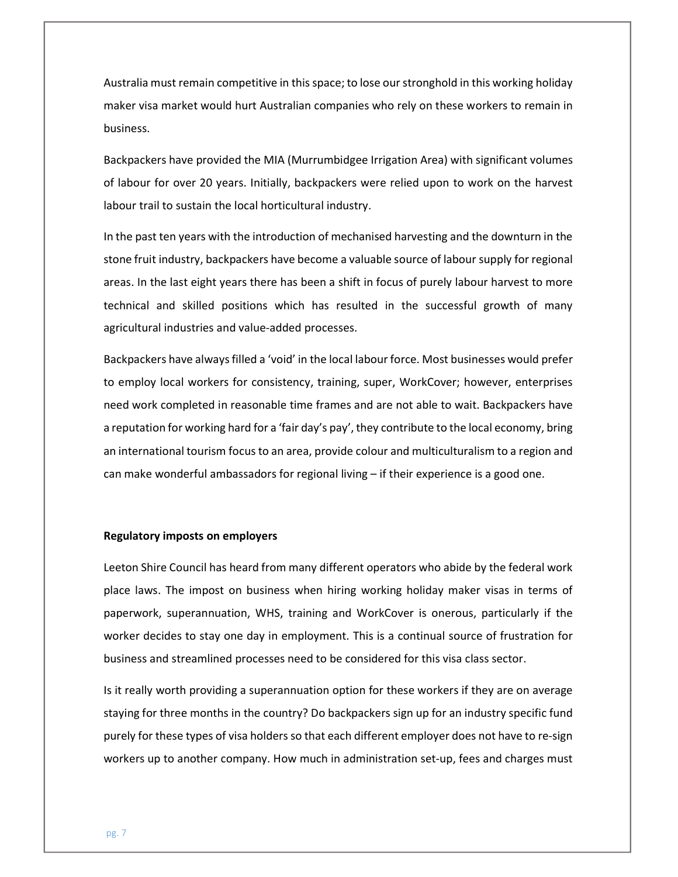Australia must remain competitive in this space; to lose our stronghold in this working holiday maker visa market would hurt Australian companies who rely on these workers to remain in business.

Backpackers have provided the MIA (Murrumbidgee Irrigation Area) with significant volumes of labour for over 20 years. Initially, backpackers were relied upon to work on the harvest labour trail to sustain the local horticultural industry.

In the past ten years with the introduction of mechanised harvesting and the downturn in the stone fruit industry, backpackers have become a valuable source of labour supply for regional areas. In the last eight years there has been a shift in focus of purely labour harvest to more technical and skilled positions which has resulted in the successful growth of many agricultural industries and value-added processes.

Backpackers have always filled a 'void' in the local labour force. Most businesses would prefer to employ local workers for consistency, training, super, WorkCover; however, enterprises need work completed in reasonable time frames and are not able to wait. Backpackers have a reputation for working hard for a 'fair day's pay', they contribute to the local economy, bring an international tourism focus to an area, provide colour and multiculturalism to a region and can make wonderful ambassadors for regional living – if their experience is a good one.

#### Regulatory imposts on employers

Leeton Shire Council has heard from many different operators who abide by the federal work place laws. The impost on business when hiring working holiday maker visas in terms of paperwork, superannuation, WHS, training and WorkCover is onerous, particularly if the worker decides to stay one day in employment. This is a continual source of frustration for business and streamlined processes need to be considered for this visa class sector.

Is it really worth providing a superannuation option for these workers if they are on average staying for three months in the country? Do backpackers sign up for an industry specific fund purely for these types of visa holders so that each different employer does not have to re-sign workers up to another company. How much in administration set-up, fees and charges must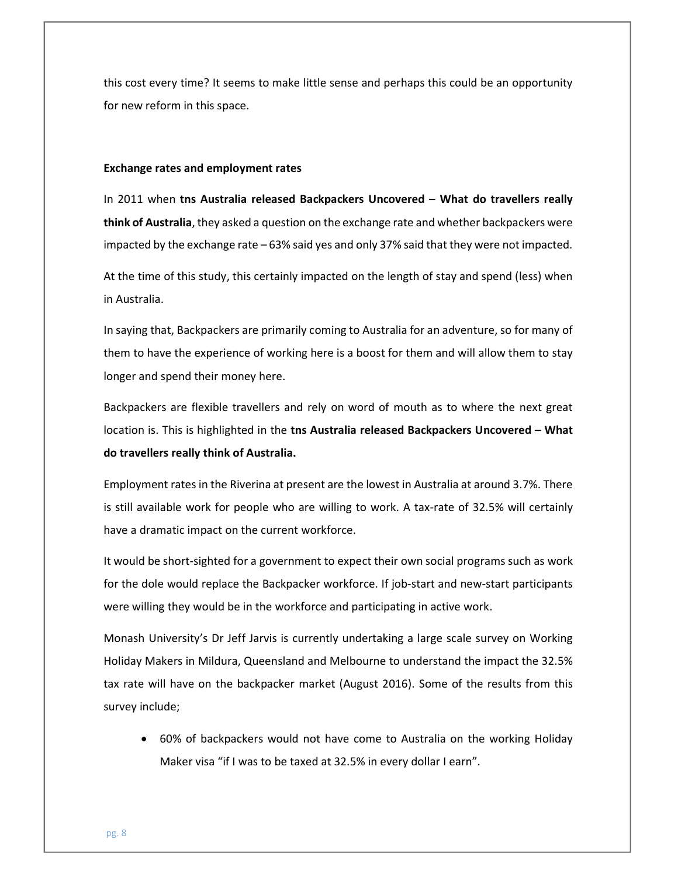this cost every time? It seems to make little sense and perhaps this could be an opportunity for new reform in this space.

#### Exchange rates and employment rates

In 2011 when tns Australia released Backpackers Uncovered – What do travellers really think of Australia, they asked a question on the exchange rate and whether backpackers were impacted by the exchange rate – 63% said yes and only 37% said that they were not impacted.

At the time of this study, this certainly impacted on the length of stay and spend (less) when in Australia.

In saying that, Backpackers are primarily coming to Australia for an adventure, so for many of them to have the experience of working here is a boost for them and will allow them to stay longer and spend their money here.

Backpackers are flexible travellers and rely on word of mouth as to where the next great location is. This is highlighted in the tns Australia released Backpackers Uncovered - What do travellers really think of Australia.

Employment rates in the Riverina at present are the lowest in Australia at around 3.7%. There is still available work for people who are willing to work. A tax-rate of 32.5% will certainly have a dramatic impact on the current workforce.

It would be short-sighted for a government to expect their own social programs such as work for the dole would replace the Backpacker workforce. If job-start and new-start participants were willing they would be in the workforce and participating in active work.

Monash University's Dr Jeff Jarvis is currently undertaking a large scale survey on Working Holiday Makers in Mildura, Queensland and Melbourne to understand the impact the 32.5% tax rate will have on the backpacker market (August 2016). Some of the results from this survey include;

 60% of backpackers would not have come to Australia on the working Holiday Maker visa "if I was to be taxed at 32.5% in every dollar I earn".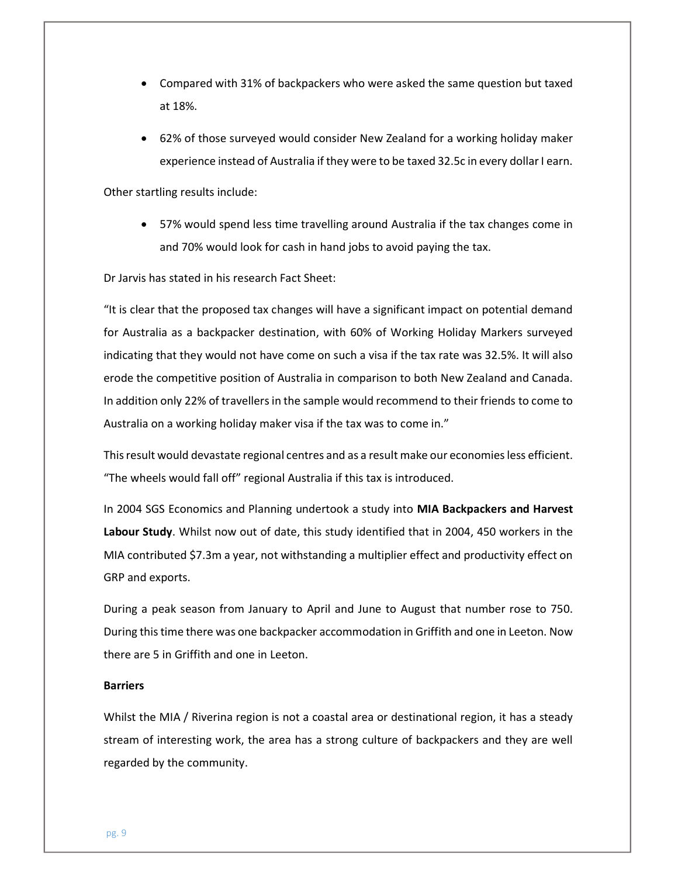- Compared with 31% of backpackers who were asked the same question but taxed at 18%.
- 62% of those surveyed would consider New Zealand for a working holiday maker experience instead of Australia if they were to be taxed 32.5c in every dollar I earn.

Other startling results include:

 57% would spend less time travelling around Australia if the tax changes come in and 70% would look for cash in hand jobs to avoid paying the tax.

Dr Jarvis has stated in his research Fact Sheet:

"It is clear that the proposed tax changes will have a significant impact on potential demand for Australia as a backpacker destination, with 60% of Working Holiday Markers surveyed indicating that they would not have come on such a visa if the tax rate was 32.5%. It will also erode the competitive position of Australia in comparison to both New Zealand and Canada. In addition only 22% of travellers in the sample would recommend to their friends to come to Australia on a working holiday maker visa if the tax was to come in."

This result would devastate regional centres and as a result make our economies less efficient. "The wheels would fall off" regional Australia if this tax is introduced.

In 2004 SGS Economics and Planning undertook a study into MIA Backpackers and Harvest Labour Study. Whilst now out of date, this study identified that in 2004, 450 workers in the MIA contributed \$7.3m a year, not withstanding a multiplier effect and productivity effect on GRP and exports.

During a peak season from January to April and June to August that number rose to 750. During this time there was one backpacker accommodation in Griffith and one in Leeton. Now there are 5 in Griffith and one in Leeton.

#### **Barriers**

Whilst the MIA / Riverina region is not a coastal area or destinational region, it has a steady stream of interesting work, the area has a strong culture of backpackers and they are well regarded by the community.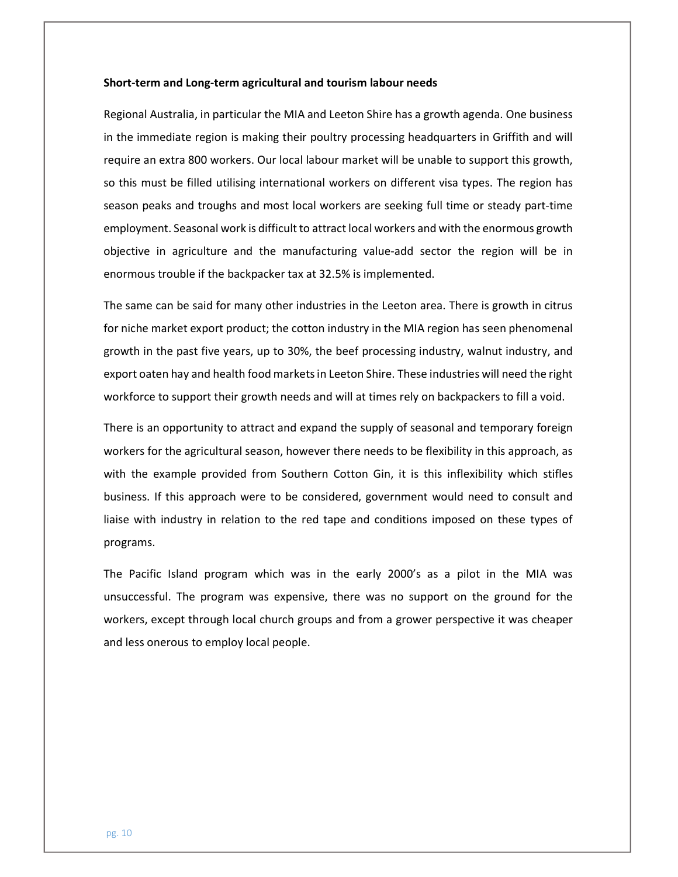#### Short-term and Long-term agricultural and tourism labour needs

Regional Australia, in particular the MIA and Leeton Shire has a growth agenda. One business in the immediate region is making their poultry processing headquarters in Griffith and will require an extra 800 workers. Our local labour market will be unable to support this growth, so this must be filled utilising international workers on different visa types. The region has season peaks and troughs and most local workers are seeking full time or steady part-time employment. Seasonal work is difficult to attract local workers and with the enormous growth objective in agriculture and the manufacturing value-add sector the region will be in enormous trouble if the backpacker tax at 32.5% is implemented.

The same can be said for many other industries in the Leeton area. There is growth in citrus for niche market export product; the cotton industry in the MIA region has seen phenomenal growth in the past five years, up to 30%, the beef processing industry, walnut industry, and export oaten hay and health food markets in Leeton Shire. These industries will need the right workforce to support their growth needs and will at times rely on backpackers to fill a void.

There is an opportunity to attract and expand the supply of seasonal and temporary foreign workers for the agricultural season, however there needs to be flexibility in this approach, as with the example provided from Southern Cotton Gin, it is this inflexibility which stifles business. If this approach were to be considered, government would need to consult and liaise with industry in relation to the red tape and conditions imposed on these types of programs.

The Pacific Island program which was in the early 2000's as a pilot in the MIA was unsuccessful. The program was expensive, there was no support on the ground for the workers, except through local church groups and from a grower perspective it was cheaper and less onerous to employ local people.